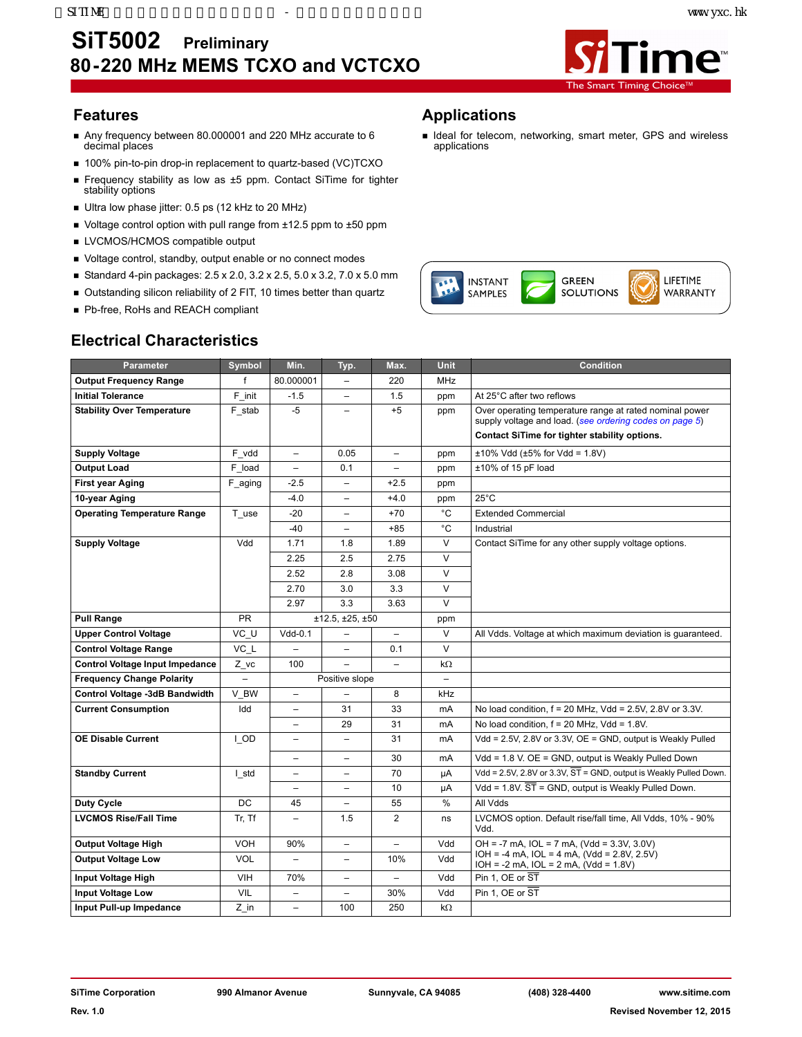

- Any frequency between 80.000001 and 220 MHz accurate to 6 decimal places
- 100% pin-to-pin drop-in replacement to quartz-based (VC)TCXO
- Frequency stability as low as ±5 ppm. Contact SiTime for tighter stability options
- Ultra low phase jitter: 0.5 ps (12 kHz to 20 MHz)
- Voltage control option with pull range from ±12.5 ppm to ±50 ppm
- **LVCMOS/HCMOS compatible output**
- Voltage control, standby, output enable or no connect modes
- Standard 4-pin packages:  $2.5 \times 2.0$ ,  $3.2 \times 2.5$ ,  $5.0 \times 3.2$ ,  $7.0 \times 5.0$  mm
- Outstanding silicon reliability of 2 FIT, 10 times better than quartz
- Pb-free, RoHs and REACH compliant

## **Electrical Characteristics**

## **Features Applications**

I Ideal for telecom, networking, smart meter, GPS and wireless applications



| <b>Parameter</b>                       | <b>Symbol</b> | Min.                     | Typ.                     | Max.                     | <b>Unit</b>       | <b>Condition</b>                                                                                                   |
|----------------------------------------|---------------|--------------------------|--------------------------|--------------------------|-------------------|--------------------------------------------------------------------------------------------------------------------|
| <b>Output Frequency Range</b>          | f             | 80.000001                | $\overline{\phantom{0}}$ | 220                      | <b>MHz</b>        |                                                                                                                    |
| <b>Initial Tolerance</b>               | F init        | $-1.5$                   | $\qquad \qquad -$        | 1.5                      | ppm               | At 25°C after two reflows                                                                                          |
| <b>Stability Over Temperature</b>      | F stab        | $-5$                     | $\overline{\phantom{0}}$ | $+5$                     | ppm               | Over operating temperature range at rated nominal power<br>supply voltage and load. (see ordering codes on page 5) |
|                                        |               |                          |                          |                          |                   | Contact SiTime for tighter stability options.                                                                      |
| <b>Supply Voltage</b>                  | F vdd         | $\overline{\phantom{0}}$ | 0.05                     | $\overline{\phantom{0}}$ | ppm               | $±10\%$ Vdd ( $±5\%$ for Vdd = 1.8V)                                                                               |
| <b>Output Load</b>                     | F load        | $\overline{\phantom{0}}$ | 0.1                      | $\equiv$                 | ppm               | ±10% of 15 pF load                                                                                                 |
| First year Aging                       | F aging       | $-2.5$                   | $\overline{\phantom{0}}$ | $+2.5$                   | ppm               |                                                                                                                    |
| 10-year Aging                          |               | $-4.0$                   | -                        | $+4.0$                   | ppm               | $25^{\circ}$ C                                                                                                     |
| <b>Operating Temperature Range</b>     | T_use         | $-20$                    | $\overline{\phantom{0}}$ | $+70$                    | °C                | <b>Extended Commercial</b>                                                                                         |
|                                        |               | -40                      | $\equiv$                 | $+85$                    | °C                | Industrial                                                                                                         |
| <b>Supply Voltage</b>                  | Vdd           | 1.71                     | 1.8                      | 1.89                     | $\overline{V}$    | Contact SiTime for any other supply voltage options.                                                               |
|                                        |               | 2.25                     | 2.5                      | 2.75                     | $\vee$            |                                                                                                                    |
|                                        |               | 2.52                     | 2.8                      | 3.08                     | $\vee$            |                                                                                                                    |
|                                        |               | 2.70                     | 3.0                      | 3.3                      | $\vee$            |                                                                                                                    |
|                                        |               | 2.97                     | 3.3                      | 3.63                     | $\vee$            |                                                                                                                    |
| <b>Pull Range</b>                      | <b>PR</b>     |                          | ±12.5, ±25, ±50          |                          | ppm               |                                                                                                                    |
| <b>Upper Control Voltage</b>           | VC U          | $Vdd-0.1$                |                          | $\qquad \qquad -$        | $\vee$            | All Vdds. Voltage at which maximum deviation is guaranteed.                                                        |
| <b>Control Voltage Range</b>           | VC L          |                          |                          | 0.1                      | $\vee$            |                                                                                                                    |
| <b>Control Voltage Input Impedance</b> | Z vc          | 100                      |                          | $\qquad \qquad -$        | $k\Omega$         |                                                                                                                    |
| <b>Frequency Change Polarity</b>       |               |                          | Positive slope           |                          | $\qquad \qquad -$ |                                                                                                                    |
| Control Voltage -3dB Bandwidth         | V BW          | -                        |                          | 8                        | kHz               |                                                                                                                    |
| <b>Current Consumption</b>             | Idd           | $\qquad \qquad -$        | 31                       | 33                       | mA                | No load condition, $f = 20$ MHz, Vdd = 2.5V, 2.8V or 3.3V.                                                         |
|                                        |               | -                        | 29                       | 31                       | mA                | No load condition, $f = 20$ MHz, Vdd = 1.8V.                                                                       |
| <b>OE Disable Current</b>              | <b>I_OD</b>   | $\overline{\phantom{0}}$ | $\qquad \qquad -$        | 31                       | mA                | Vdd = 2.5V, 2.8V or 3.3V, OE = GND, output is Weakly Pulled                                                        |
|                                        |               | L.                       |                          | 30                       | mA                | Vdd = 1.8 V. OE = GND, output is Weakly Pulled Down                                                                |
| <b>Standby Current</b>                 | I std         | $\overline{\phantom{0}}$ |                          | 70                       | μA                | Vdd = $2.5V$ , $2.8V$ or $3.3V$ , $\overline{ST}$ = GND, output is Weakly Pulled Down.                             |
|                                        |               |                          |                          | 10                       | μA                | Vdd = $1.8V$ . $\overline{ST}$ = GND, output is Weakly Pulled Down.                                                |
| Duty Cycle                             | DC            | 45                       |                          | 55                       | %                 | All Vdds                                                                                                           |
| <b>LVCMOS Rise/Fall Time</b>           | Tr, Tf        | $\overline{a}$           | 1.5                      | $\overline{2}$           | ns                | LVCMOS option. Default rise/fall time, All Vdds, 10% - 90%<br>Vdd.                                                 |
| Output Voltage High                    | VOH           | 90%                      | $\overline{\phantom{a}}$ | $\qquad \qquad -$        | Vdd               | $OH = -7$ mA, $IOL = 7$ mA, $(Vdd = 3.3V, 3.0V)$                                                                   |
| <b>Output Voltage Low</b>              | <b>VOL</b>    | $\overline{\phantom{0}}$ | $\overline{\phantom{0}}$ | 10%                      | Vdd               | $IOH = -4 mA$ , $IOL = 4 mA$ , $(Vdd = 2.8V, 2.5V)$<br>$IOH = -2 mA$ , $IOL = 2 mA$ , $(Vdd = 1.8V)$               |
| Input Voltage High                     | <b>VIH</b>    | 70%                      | $\overline{\phantom{0}}$ | $\overline{\phantom{0}}$ | Vdd               | Pin 1, OE or ST                                                                                                    |
| <b>Input Voltage Low</b>               | <b>VIL</b>    | $\overline{\phantom{0}}$ | $\overline{\phantom{0}}$ | 30%                      | Vdd               | Pin 1. OE or ST                                                                                                    |
| Input Pull-up Impedance                | $Z$ in        | $\overline{\phantom{0}}$ | 100                      | 250                      | $k\Omega$         |                                                                                                                    |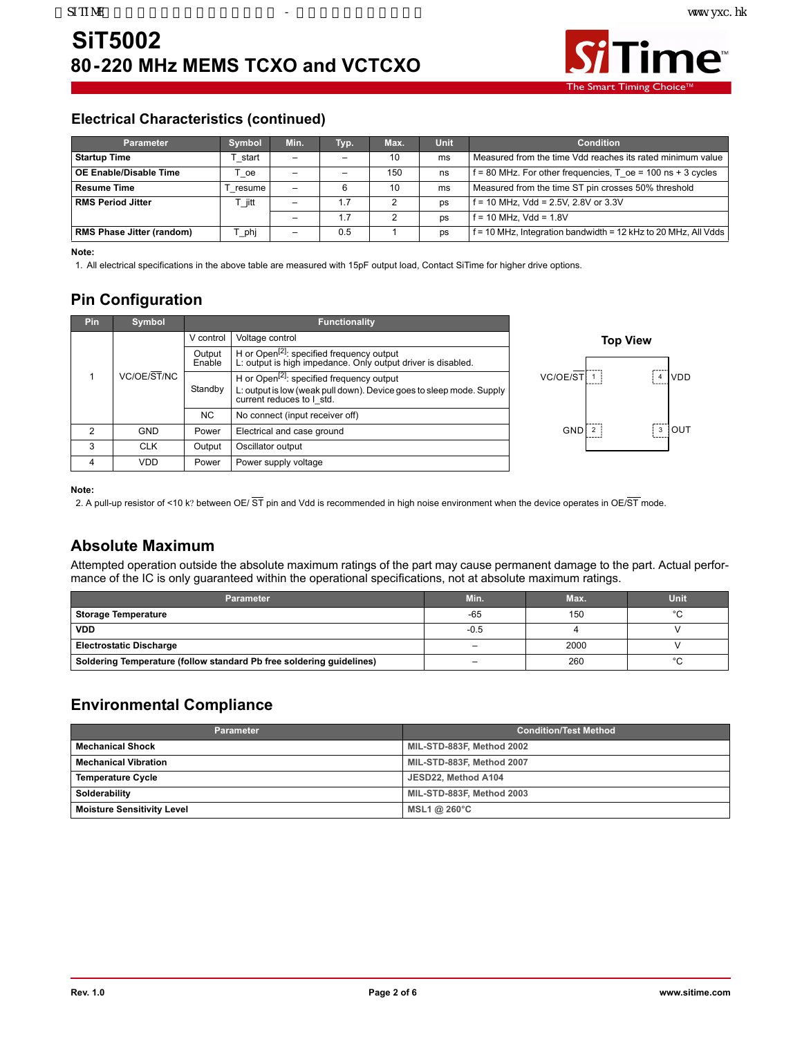

The Smart Timing

#### **Electrical Characteristics (continued)**

| <b>Parameter</b>                 | <b>Symbol</b>    | Min.                     | Typ. | Max. | Unit      | <b>Condition</b>                                                 |
|----------------------------------|------------------|--------------------------|------|------|-----------|------------------------------------------------------------------|
| <b>Startup Time</b>              | start            | $\equiv$                 |      | 10   | ms        | Measured from the time Vdd reaches its rated minimum value       |
| OE Enable/Disable Time           | oe               | $\overline{\phantom{0}}$ |      | 15C  | ns        | $f = 80$ MHz. For other frequencies, T oe = 100 ns + 3 cycles    |
| <b>Resume Time</b>               | resume           |                          |      | 10   | ms        | Measured from the time ST pin crosses 50% threshold              |
| <b>RMS Period Jitter</b>         | T jitt           | -                        |      |      | <b>DS</b> | $f = 10$ MHz, Vdd = 2.5V, 2.8V or 3.3V                           |
|                                  |                  | $\overline{\phantom{0}}$ |      |      | ps        | $f = 10$ MHz. Vdd = 1.8V                                         |
| <b>RMS Phase Jitter (random)</b> | phi <sup>-</sup> | -                        | 0.5  |      | ps        | $f = 10$ MHz, Integration bandwidth = 12 kHz to 20 MHz, All Vdds |

**Note:** 

1. All electrical specifications in the above table are measured with 15pF output load, Contact SiTime for higher drive options.

### **Pin Configuration**

| Pin           | <b>Symbol</b> |                  | <b>Functionality</b>                                                                                                                                       |            |                 |            |
|---------------|---------------|------------------|------------------------------------------------------------------------------------------------------------------------------------------------------------|------------|-----------------|------------|
|               |               | V control        | Voltage control                                                                                                                                            |            | <b>Top View</b> |            |
|               |               | Output<br>Enable | H or Open <sup>[2]</sup> : specified frequency output<br>L: output is high impedance. Only output driver is disabled.                                      |            |                 |            |
|               | VC/OE/ST/NC   | Standby          | H or Open <sup>[2]</sup> : specified frequency output<br>L: output is low (weak pull down). Device goes to sleep mode. Supply<br>current reduces to I std. | VC/OE/ST   |                 | <b>VDD</b> |
|               |               | <b>NC</b>        | No connect (input receiver off)                                                                                                                            |            |                 |            |
| $\mathcal{P}$ | <b>GND</b>    | Power            | Electrical and case ground                                                                                                                                 | <b>GND</b> |                 | TUOL<br>3  |
| 3             | <b>CLK</b>    | Output           | Oscillator output                                                                                                                                          |            |                 |            |
| 4             | <b>VDD</b>    | Power            | Power supply voltage                                                                                                                                       |            |                 |            |

#### **Note:**

2. A pull-up resistor of <10 k? between OE/  $\overline{ST}$  pin and Vdd is recommended in high noise environment when the device operates in OE/ $\overline{ST}$  mode.

#### **Absolute Maximum**

Attempted operation outside the absolute maximum ratings of the part may cause permanent damage to the part. Actual performance of the IC is only guaranteed within the operational specifications, not at absolute maximum ratings.

| <b>Parameter</b>                                                     | Min.   | Max. | <b>Unit</b> |
|----------------------------------------------------------------------|--------|------|-------------|
| <b>Storage Temperature</b>                                           | $-65$  | 150  | $\sim$      |
| <b>VDD</b>                                                           | $-0.5$ |      |             |
| <b>Electrostatic Discharge</b>                                       |        | 2000 |             |
| Soldering Temperature (follow standard Pb free soldering guidelines) | -      | 260  |             |

#### **Environmental Compliance**

| <b>Parameter</b>                  | <b>Condition/Test Method</b> |
|-----------------------------------|------------------------------|
| <b>Mechanical Shock</b>           | MIL-STD-883F, Method 2002    |
| <b>Mechanical Vibration</b>       | MIL-STD-883F, Method 2007    |
| <b>Temperature Cycle</b>          | JESD22, Method A104          |
| Solderability                     | MIL-STD-883F, Method 2003    |
| <b>Moisture Sensitivity Level</b> | MSL1 @ 260 $^{\circ}$ C      |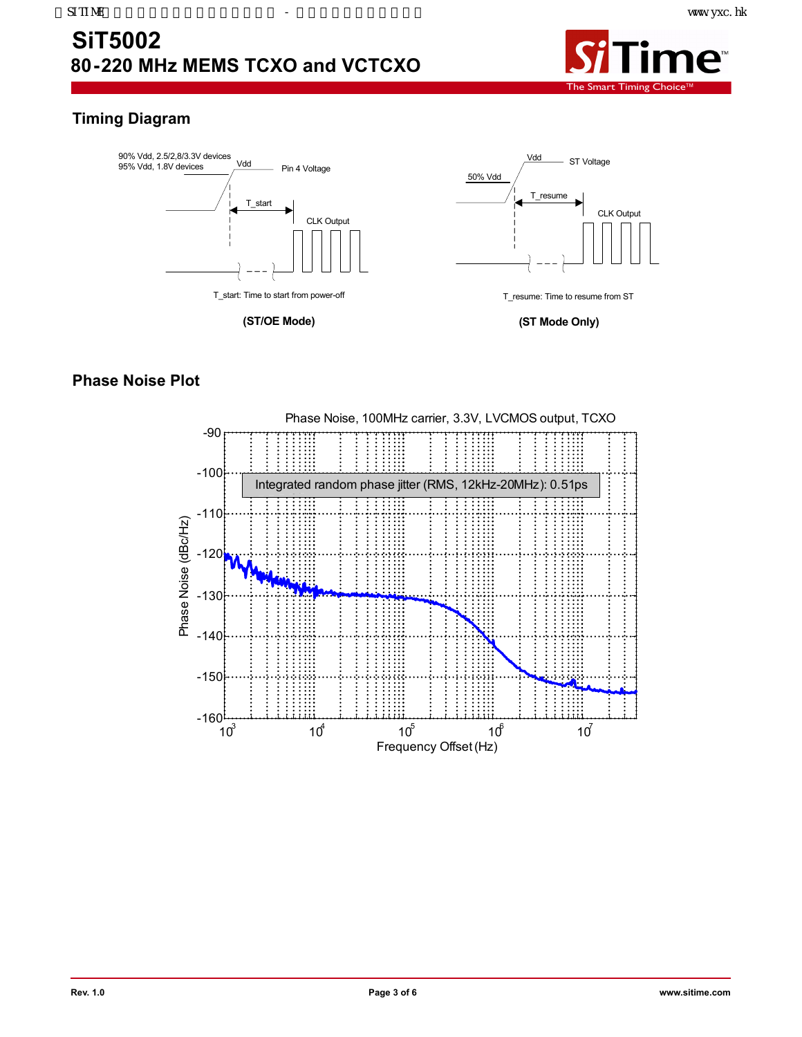

## **Timing Diagram**



### **Phase Noise Plot**

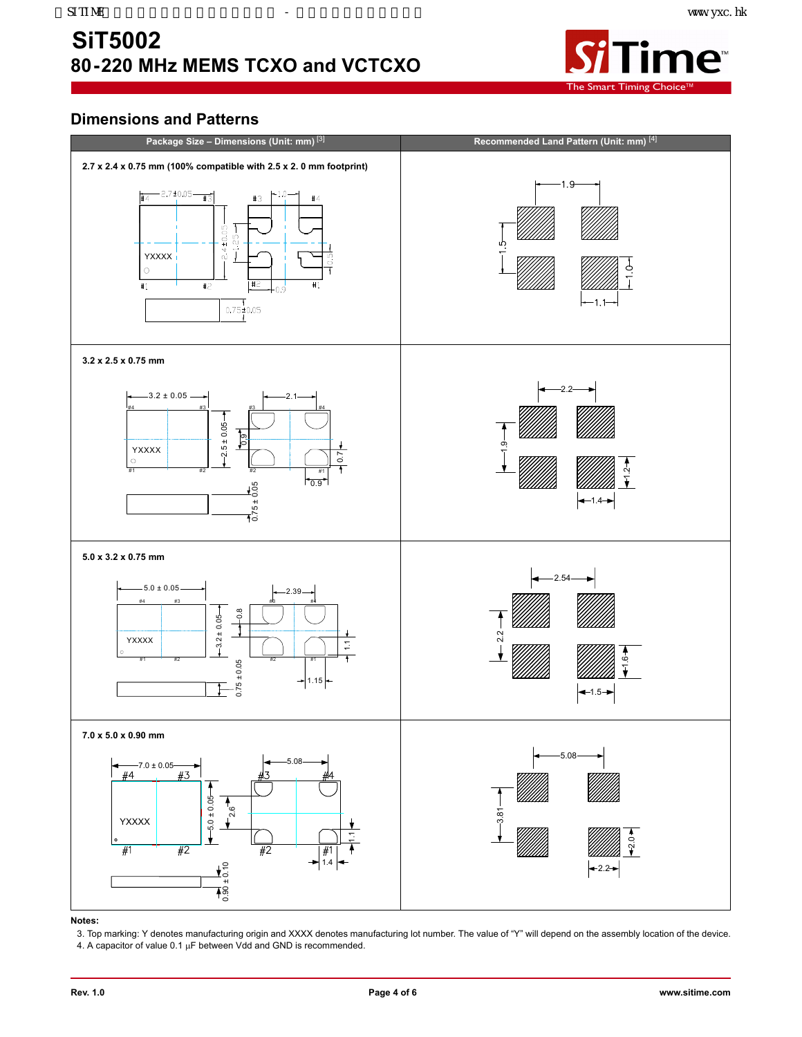## <span id="page-3-0"></span>**SiT5002 80-220 MHz MEMS TCXO and VCTCXO**



### **Dimensions and Patterns**



#### **Notes:**

3. Top marking: Y denotes manufacturing origin and XXXX denotes manufacturing lot number. The value of "Y" will depend on the assembly location of the device. 4. A capacitor of value  $0.1 \mu F$  between Vdd and GND is recommended.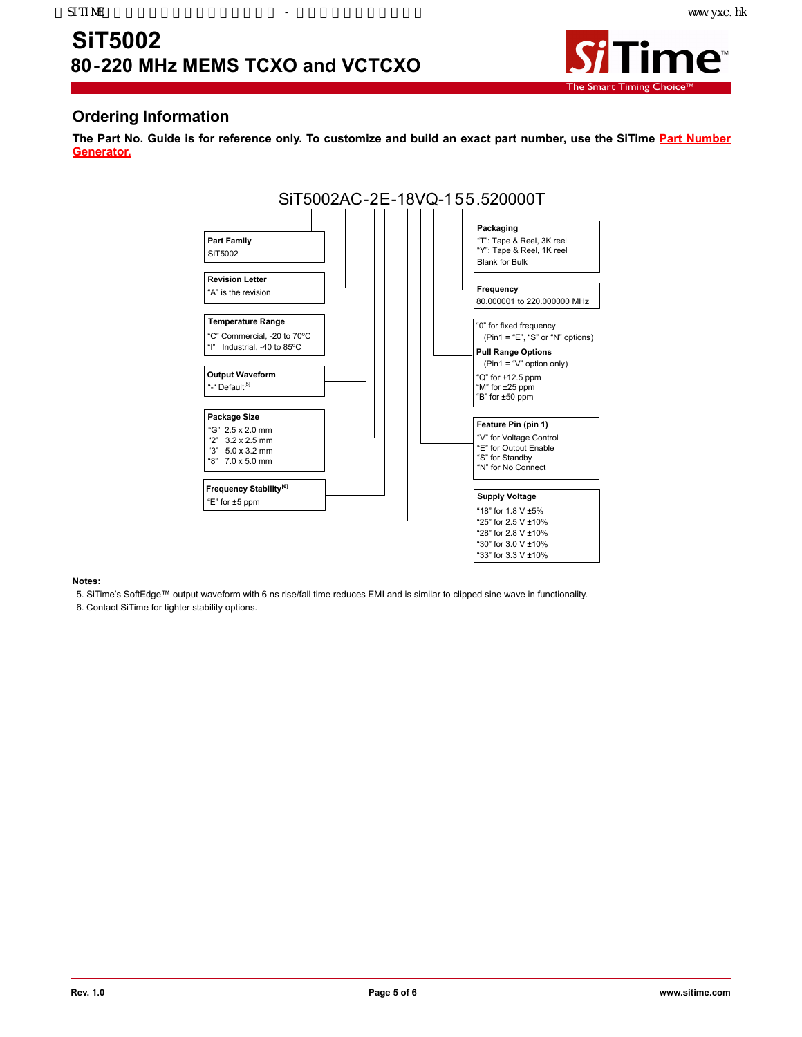

#### <span id="page-4-0"></span>**Ordering Information**

**The Part No. Guide is for reference only. To customize and build an exact part number, use the SiTime [Part Number](http://www.sitime.com/products/temperature-compensated-vctcxo/sit5002#magictabs_1pzBe_3Part) [Generator.](http://www.sitime.com/products/temperature-compensated-vctcxo/sit5002#magictabs_1pzBe_3Part)**



#### **Notes:**

5. SiTime's SoftEdge™ output waveform with 6 ns rise/fall time reduces EMI and is similar to clipped sine wave in functionality.

6. Contact SiTime for tighter stability options.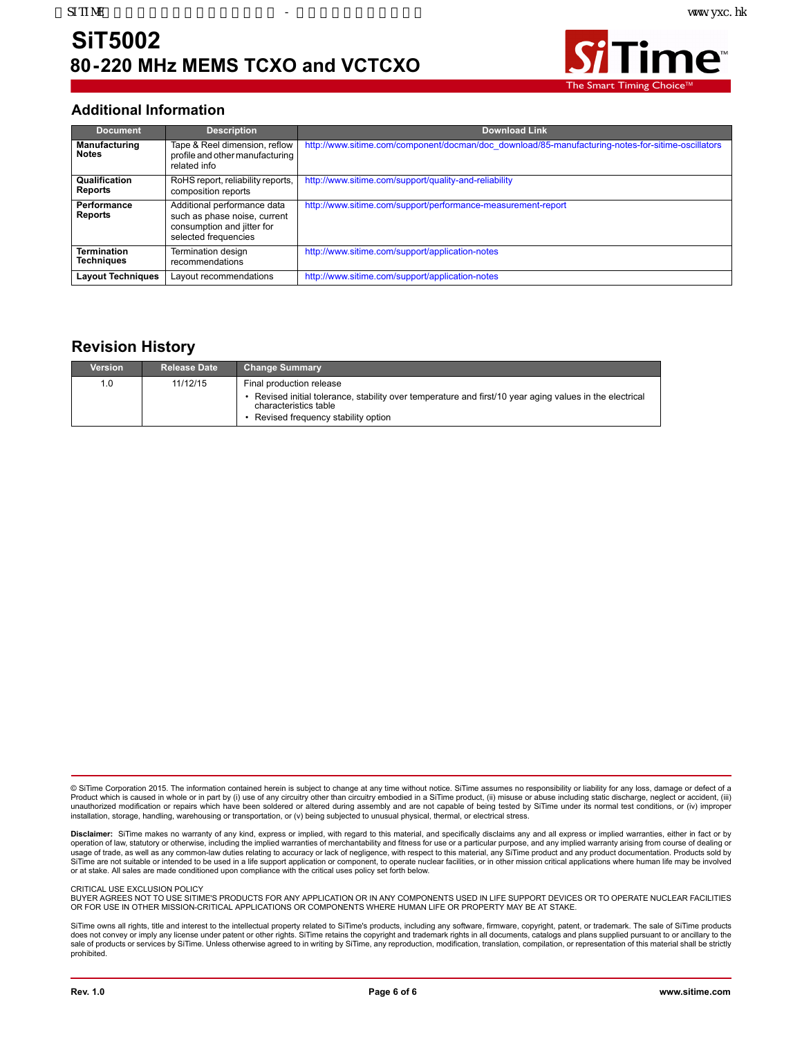

#### <span id="page-5-0"></span>**Additional Information**

| <b>Document</b>                         | <b>Description</b>                                                                                                | <b>Download Link</b>                                                                              |
|-----------------------------------------|-------------------------------------------------------------------------------------------------------------------|---------------------------------------------------------------------------------------------------|
| <b>Manufacturing</b><br><b>Notes</b>    | Tape & Reel dimension, reflow<br>profile and other manufacturing<br>related info                                  | http://www.sitime.com/component/docman/doc_download/85-manufacturing-notes-for-sitime-oscillators |
| Qualification<br>Reports                | RoHS report, reliability reports,<br>composition reports                                                          | http://www.sitime.com/support/quality-and-reliability                                             |
| Performance<br>Reports                  | Additional performance data<br>such as phase noise, current<br>consumption and jitter for<br>selected frequencies | http://www.sitime.com/support/performance-measurement-report                                      |
| <b>Termination</b><br><b>Techniques</b> | Termination design<br>recommendations                                                                             | http://www.sitime.com/support/application-notes                                                   |
| <b>Layout Techniques</b>                | Layout recommendations                                                                                            | http://www.sitime.com/support/application-notes                                                   |

#### **Revision History**

| Version | <b>Release Date</b> | <b>Change Summary</b>                                                                                                                                                                             |
|---------|---------------------|---------------------------------------------------------------------------------------------------------------------------------------------------------------------------------------------------|
| 1.0     | 11/12/15            | Final production release<br>Revised initial tolerance, stability over temperature and first/10 year aging values in the electrical<br>characteristics table<br>Revised frequency stability option |

© SiTime Corporation 2015. The information contained herein is subject to change at any time without notice. SiTime assumes no responsibility or liability for any loss, damage or defect of a Product which is caused in whole or in part by (i) use of any circuitry other than circuitry embodied in a SiTime product, (ii) misuse or abuse including static discharge, neglect or accident, (iii)<br>unauthorized modificati installation, storage, handling, warehousing or transportation, or (v) being subjected to unusual physical, thermal, or electrical stress.

**Disclaimer:** SiTime makes no warranty of any kind, express or implied, with regard to this material, and specifically disclaims any and all express or implied warranties, either in fact or by operation of law, statutory or otherwise, including the implied warranties of merchantability and fitness for use or a particular purpose, and any implied warranty arising from course of dealing or usage of trade, as well as any common-law duties relating to accuracy or lack of negligence, with respect to this material, any SiTime product and any product documentation. Products sold by<br>SiTime are not suitable or inte or at stake. All sales are made conditioned upon compliance with the critical uses policy set forth below.

CRITICAL USE EXCLUSION POLICY

BUYER AGREES NOT TO USE SITIME'S PRODUCTS FOR ANY APPLICATION OR IN ANY COMPONENTS USED IN LIFE SUPPORT DEVICES OR TO OPERATE NUCLEAR FACILITIES OR FOR USE IN OTHER MISSION-CRITICAL APPLICATIONS OR COMPONENTS WHERE HUMAN LIFE OR PROPERTY MAY BE AT STAKE.

SiTime owns all rights, title and interest to the intellectual property related to SiTime's products, including any software, firmware, copyright, patent, or trademark. The sale of SiTime products does not convey or imply any license under patent or other rights. SiTime retains the copyright and trademark rights in all documents, catalogs and plans supplied pursuant to or ancillary to the<br>sale of products or service prohibited.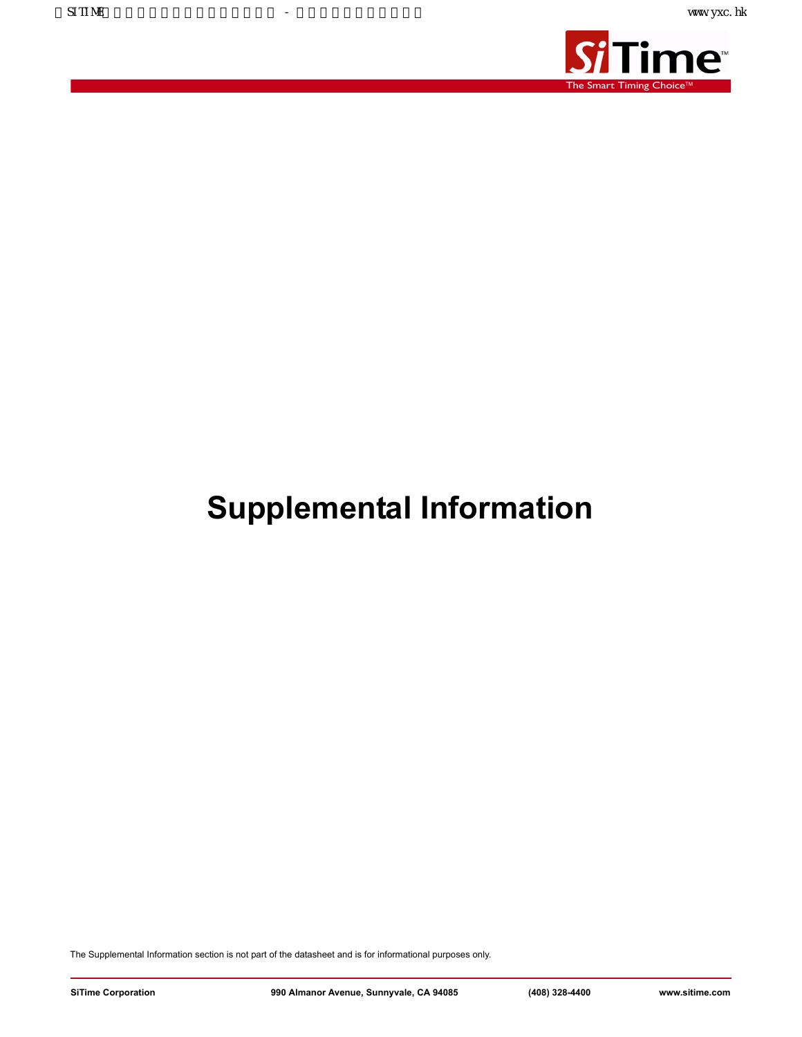

## **Supplemental Information**

The Supplemental Information section is not part of the datasheet and is for informational purposes only.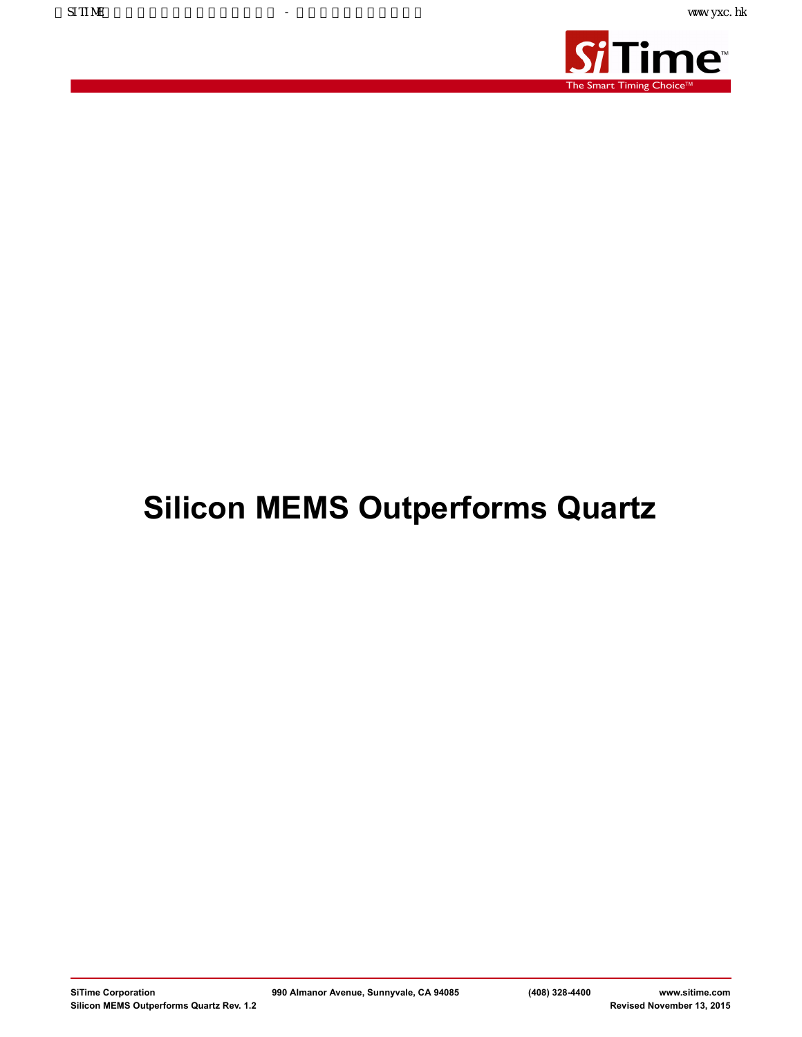

# **Silicon MEMS Outperforms Quartz**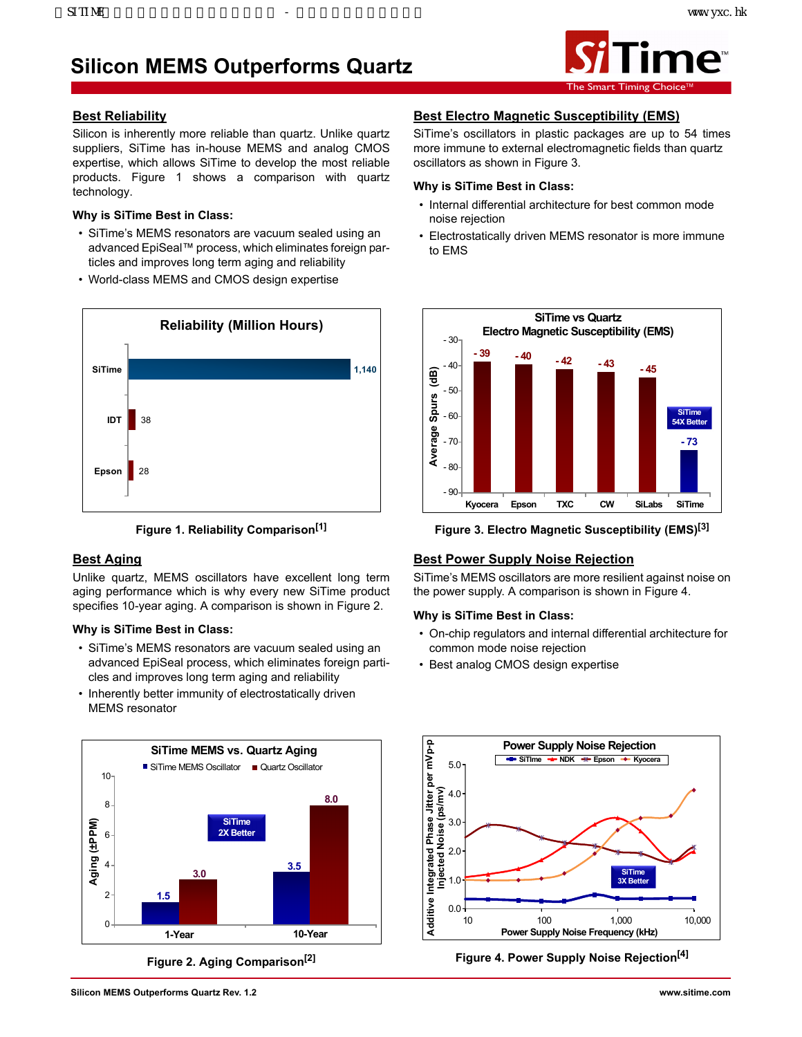## **Silicon MEMS Outperforms Quartz**



#### **Best Reliability**

Silicon is inherently more reliable than quartz. Unlike quartz suppliers, SiTime has in-house MEMS and analog CMOS expertise, which allows SiTime to develop the most reliable products. Figure 1 shows a comparison with quartz technology.

#### **Why is SiTime Best in Class:**

- SiTime's MEMS resonators are vacuum sealed using an advanced EpiSeal™ process, which eliminates foreign particles and improves long term aging and reliability
- World-class MEMS and CMOS design expertise





#### **Best Aging**

Unlike quartz, MEMS oscillators have excellent long term aging performance which is why every new SiTime product specifies 10-year aging. A comparison is shown in Figure 2.

#### **Why is SiTime Best in Class:**

- SiTime's MEMS resonators are vacuum sealed using an advanced EpiSeal process, which eliminates foreign particles and improves long term aging and reliability
- Inherently better immunity of electrostatically driven MEMS resonator



**Figure 2. Aging Comparison[2]**

#### **Best Electro Magnetic Susceptibility (EMS)**

SiTime's oscillators in plastic packages are up to 54 times more immune to external electromagnetic fields than quartz oscillators as shown in Figure 3.

#### **Why is SiTime Best in Class:**

- Internal differential architecture for best common mode noise rejection
- Electrostatically driven MEMS resonator is more immune to EMS



**Figure 3. Electro Magnetic Susceptibility (EMS)[3]**

#### **Best Power Supply Noise Rejection**

SiTime's MEMS oscillators are more resilient against noise on the power supply. A comparison is shown in Figure 4.

#### **Why is SiTime Best in Class:**

- On-chip regulators and internal differential architecture for common mode noise rejection
- Best analog CMOS design expertise



**Figure 4. Power Supply Noise Rejection[4]**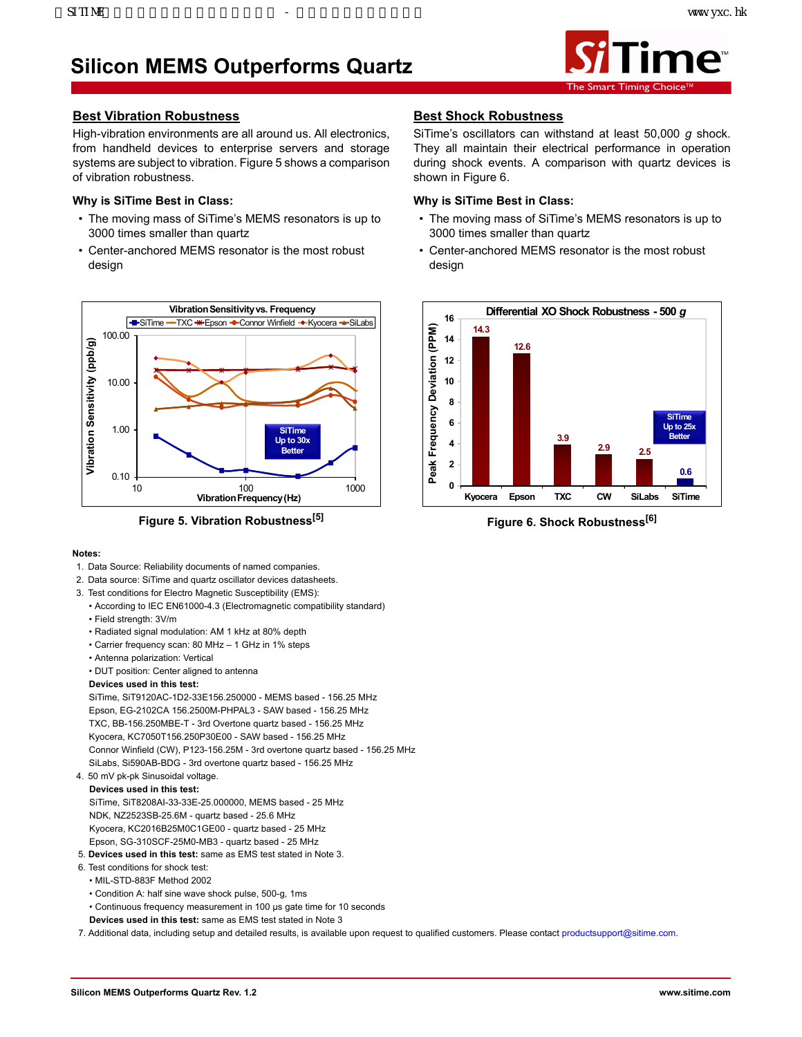## **Silicon MEMS Outperforms Quartz**



#### **Best Vibration Robustness**

High-vibration environments are all around us. All electronics, from handheld devices to enterprise servers and storage systems are subject to vibration. Figure 5 shows a comparison of vibration robustness.

#### **Why is SiTime Best in Class:**

- The moving mass of SiTime's MEMS resonators is up to 3000 times smaller than quartz
- Center-anchored MEMS resonator is the most robust design



**Figure 5. Vibration Robustness[5]**

#### **Notes:**

- 1. Data Source: Reliability documents of named companies.
- 2. Data source: SiTime and quartz oscillator devices datasheets.
- 3. Test conditions for Electro Magnetic Susceptibility (EMS):
	- According to IEC EN61000-4.3 (Electromagnetic compatibility standard)
	- Field strength: 3V/m
	- Radiated signal modulation: AM 1 kHz at 80% depth
	- Carrier frequency scan: 80 MHz 1 GHz in 1% steps
	- Antenna polarization: Vertical
	- DUT position: Center aligned to antenna

#### **Devices used in this test:**

SiTime, SiT9120AC-1D2-33E156.250000 - MEMS based - 156.25 MHz Epson, EG-2102CA 156.2500M-PHPAL3 - SAW based - 156.25 MHz TXC, BB-156.250MBE-T - 3rd Overtone quartz based - 156.25 MHz Kyocera, KC7050T156.250P30E00 - SAW based - 156.25 MHz Connor Winfield (CW), P123-156.25M - 3rd overtone quartz based - 156.25 MHz SiLabs, Si590AB-BDG - 3rd overtone quartz based - 156.25 MHz

#### 4. 50 mV pk-pk Sinusoidal voltage.

**Devices used in this test:** SiTime, SiT8208AI-33-33E-25.000000, MEMS based - 25 MHz NDK, NZ2523SB-25.6M - quartz based - 25.6 MHz Kyocera, KC2016B25M0C1GE00 - quartz based - 25 MHz Epson, SG-310SCF-25M0-MB3 - quartz based - 25 MHz

- 5. **Devices used in this test:** same as EMS test stated in Note 3.
- 6. Test conditions for shock test:
- MIL-STD-883F Method 2002
- Condition A: half sine wave shock pulse, 500-g, 1ms
- Continuous frequency measurement in 100 μs gate time for 10 seconds
- **Devices used in this test:** same as EMS test stated in Note 3

7. Additional data, including setup and detailed results, is available upon request to qualified customers. Please contact productsupport@sitime.com.

#### **Best Shock Robustness**

SiTime's oscillators can withstand at least 50,000 *g* shock. They all maintain their electrical performance in operation during shock events. A comparison with quartz devices is shown in Figure 6.

#### **Why is SiTime Best in Class:**

- The moving mass of SiTime's MEMS resonators is up to 3000 times smaller than quartz
- Center-anchored MEMS resonator is the most robust design



**Figure 6. Shock Robustness[6]**